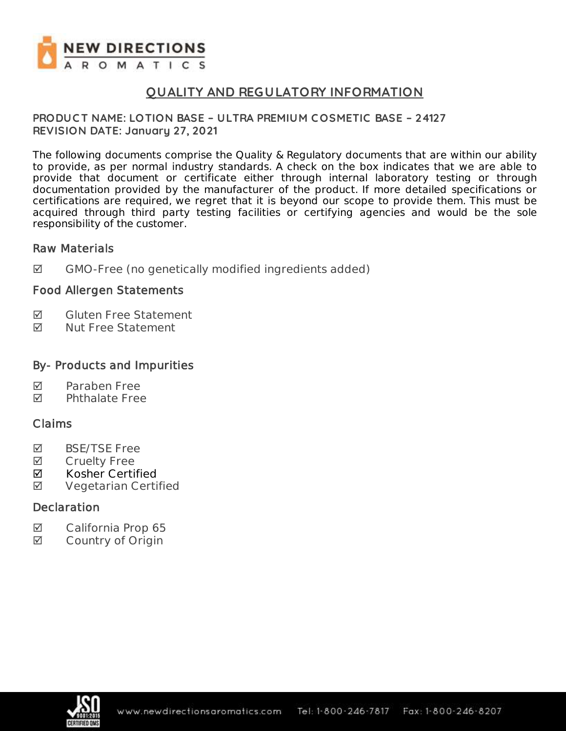

## **QUALITY AND REGULATORY INFORMATION**

#### **PRODUC T NAME: LOTION BASE – ULTRA PREMIUM C OSMETIC BASE – 24127 REVISION DATE: January 27, 2021**

The following documents comprise the Quality & Regulatory documents that are within our ability to provide, as per normal industry standards. A check on the box indicates that we are able to provide that document or certificate either through internal laboratory testing or through documentation provided by the manufacturer of the product. If more detailed specifications or certifications are required, we regret that it is beyond our scope to provide them. This must be acquired through third party testing facilities or certifying agencies and would be the sole responsibility of the customer.

#### Raw Materials

GMO-Free (no genetically modified ingredients added)

## Food Allergen Statements

- **Ø** Gluten Free Statement
- **Ø** Nut Free Statement

## By- Products and Impurities

- $\blacksquare$  Paraben Free
- **M** Phthalate Free

#### Claims

- **Ø** BSE/TSE Free
- **Ø** Cruelty Free
- **Ø** Kosher Certified
- **Ø** Vegetarian Certified

#### **Declaration**

- California Prop 65
- **Ø** Country of Origin

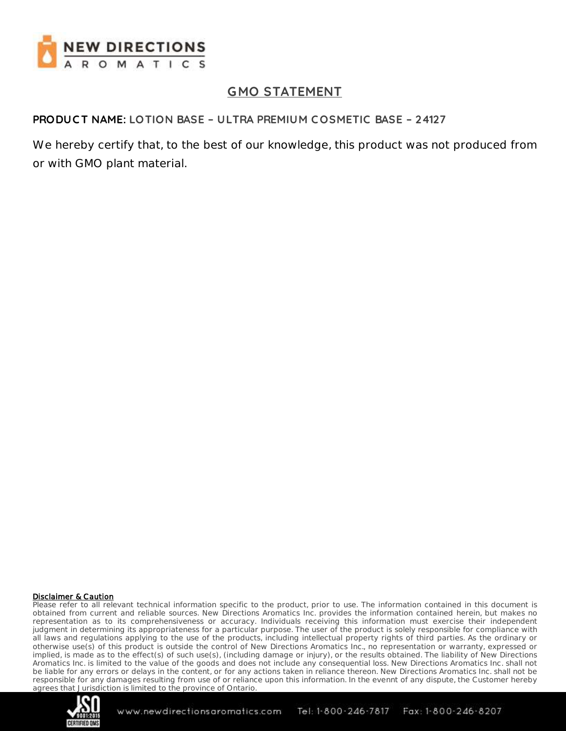

## **GMO STATEMENT**

#### **PRODUC T NAME: LOTION BASE – ULTRA PREMIUM C OSMETIC BASE – 24127**

We hereby certify that, to the best of our knowledge, this product was not produced from or with GMO plant material.

#### Disclaimer & Caution

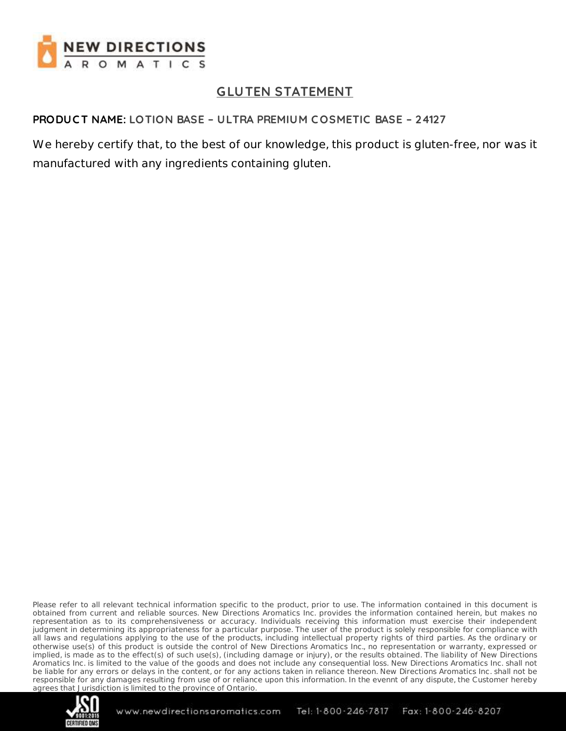

# **GLUTEN STATEMENT**

## **PRODUC T NAME: LOTION BASE – ULTRA PREMIUM C OSMETIC BASE – 24127**

We hereby certify that, to the best of our knowledge, this product is gluten-free, nor was it manufactured with any ingredients containing gluten.

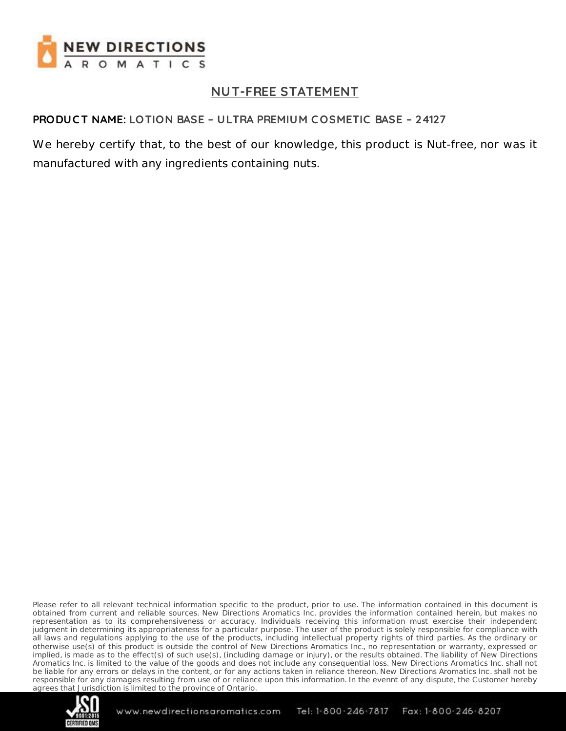

# **NUT-FREE STATEMENT**

## **PRODUC T NAME: LOTION BASE – ULTRA PREMIUM C OSMETIC BASE – 24127**

We hereby certify that, to the best of our knowledge, this product is Nut-free, nor was it manufactured with any ingredients containing nuts.

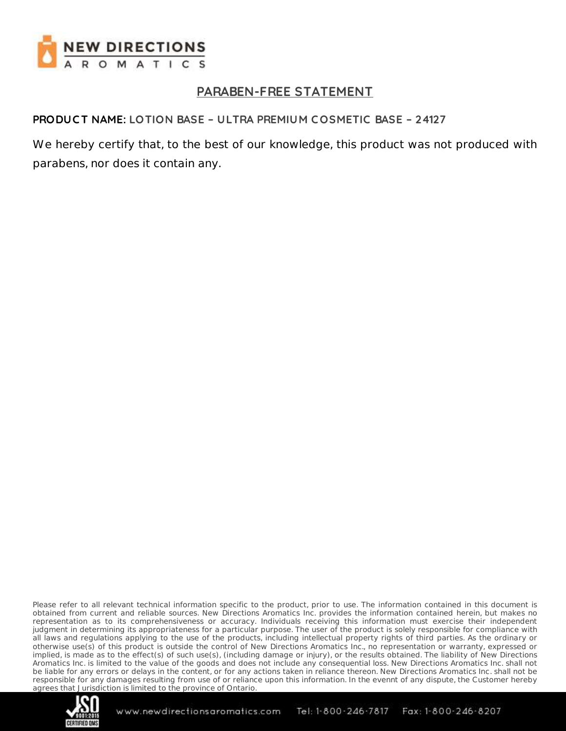

# **PARABEN-FREE STATEMENT**

## **PRODUC T NAME: LOTION BASE – ULTRA PREMIUM C OSMETIC BASE – 24127**

We hereby certify that, to the best of our knowledge, this product was not produced with parabens, nor does it contain any.

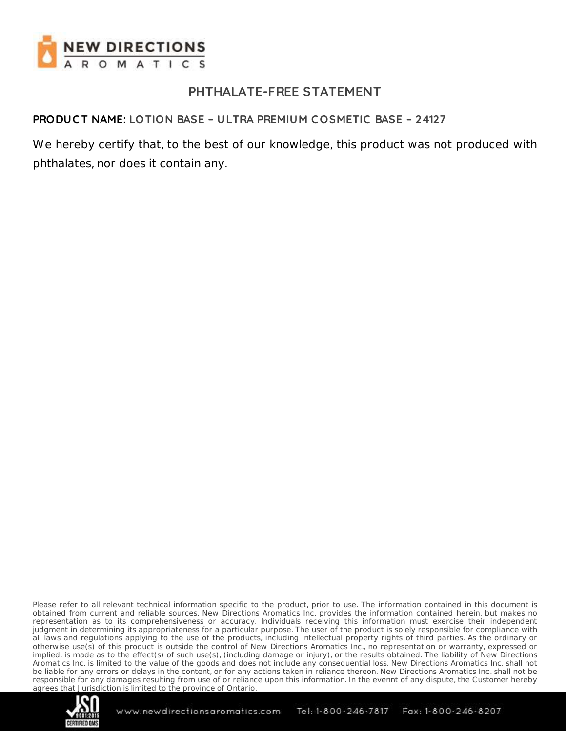

# **PHTHALATE-FREE STATEMENT**

#### **PRODUC T NAME: LOTION BASE – ULTRA PREMIUM C OSMETIC BASE – 24127**

We hereby certify that, to the best of our knowledge, this product was not produced with phthalates, nor does it contain any.

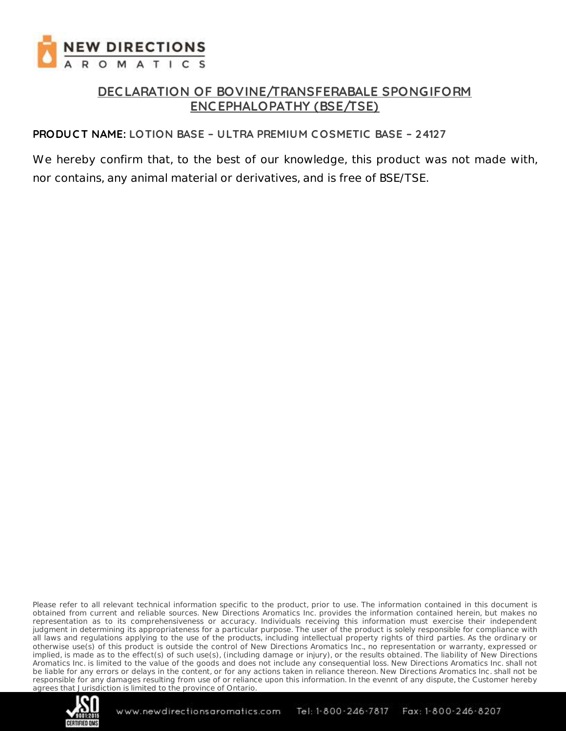

## **DEC LARATION OF BOVINE/TRANSFERABALE SPONGIFORM ENC EPHALOPATHY (BSE/TSE)**

#### **PRODUC T NAME: LOTION BASE – ULTRA PREMIUM C OSMETIC BASE – 24127**

We hereby confirm that, to the best of our knowledge, this product was not made with, nor contains, any animal material or derivatives, and is free of BSE/TSE.

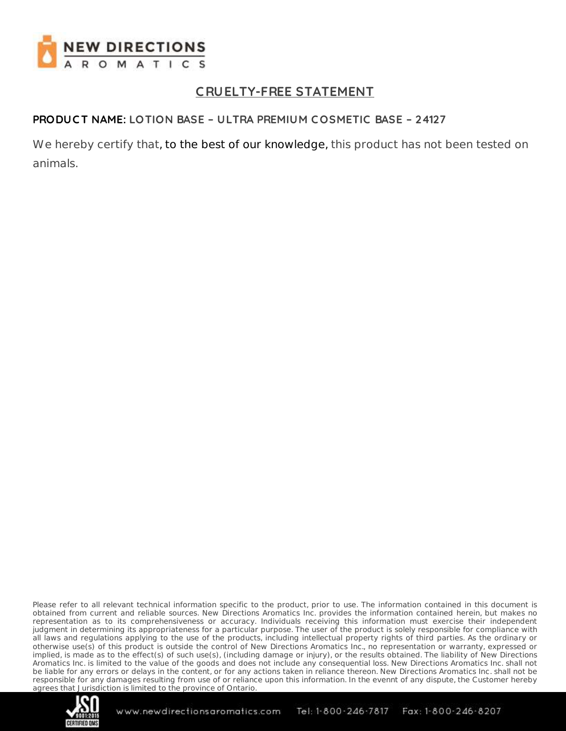

# **C RUELTY-FREE STATEMENT**

## **PRODUC T NAME: LOTION BASE – ULTRA PREMIUM C OSMETIC BASE – 24127**

We hereby certify that, to the best of our knowledge, this product has not been tested on animals.

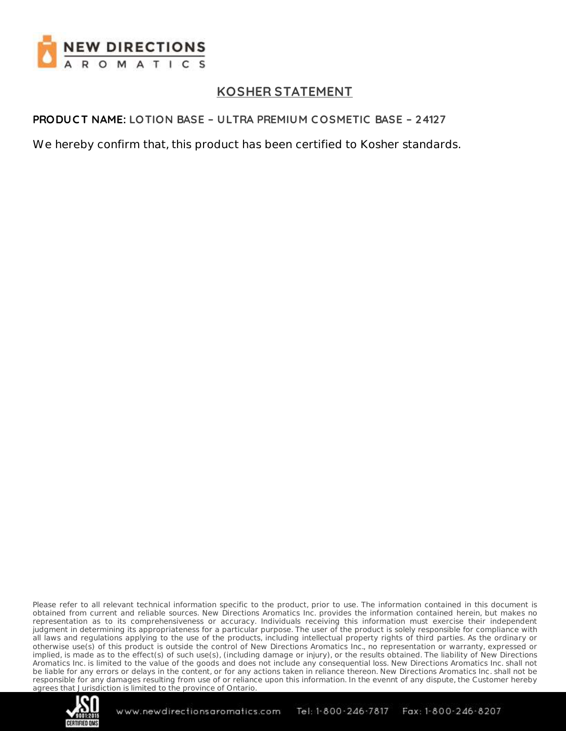

# **KOSHER STATEMENT**

## **PRODUC T NAME: LOTION BASE – ULTRA PREMIUM C OSMETIC BASE – 24127**

We hereby confirm that, this product has been certified to Kosher standards.

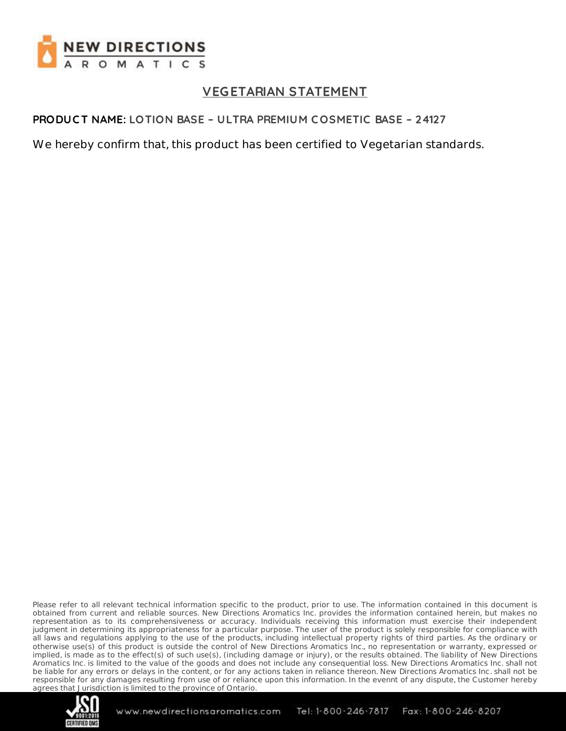

# **VEGETARIAN STATEMENT**

### **PRODUC T NAME: LOTION BASE – ULTRA PREMIUM C OSMETIC BASE – 24127**

We hereby confirm that, this product has been certified to Vegetarian standards.

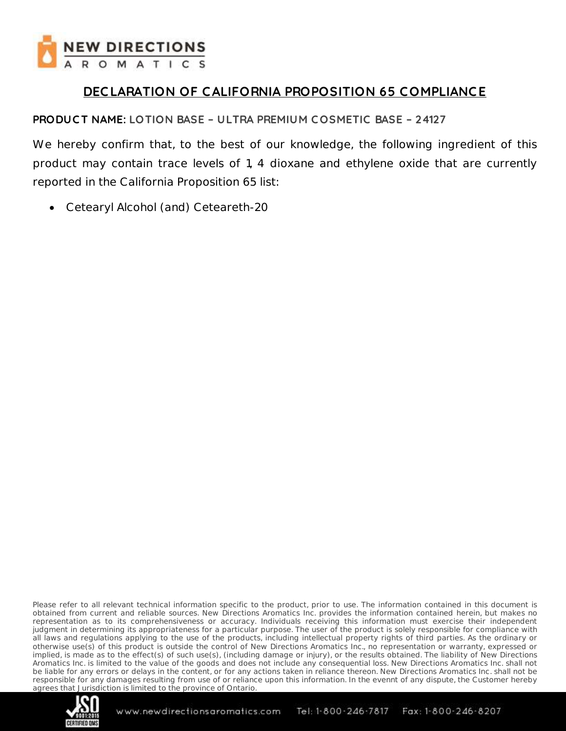

## **DEC LARATION OF C ALIFORNIA PROPOSITION 65 COMPLIANC E**

## **PRODUC T NAME: LOTION BASE – ULTRA PREMIUM C OSMETIC BASE – 24127**

We hereby confirm that, to the best of our knowledge, the following ingredient of this product may contain trace levels of 1, 4 dioxane and ethylene oxide that are currently reported in the California Proposition 65 list:

Cetearyl Alcohol (and) Ceteareth-20